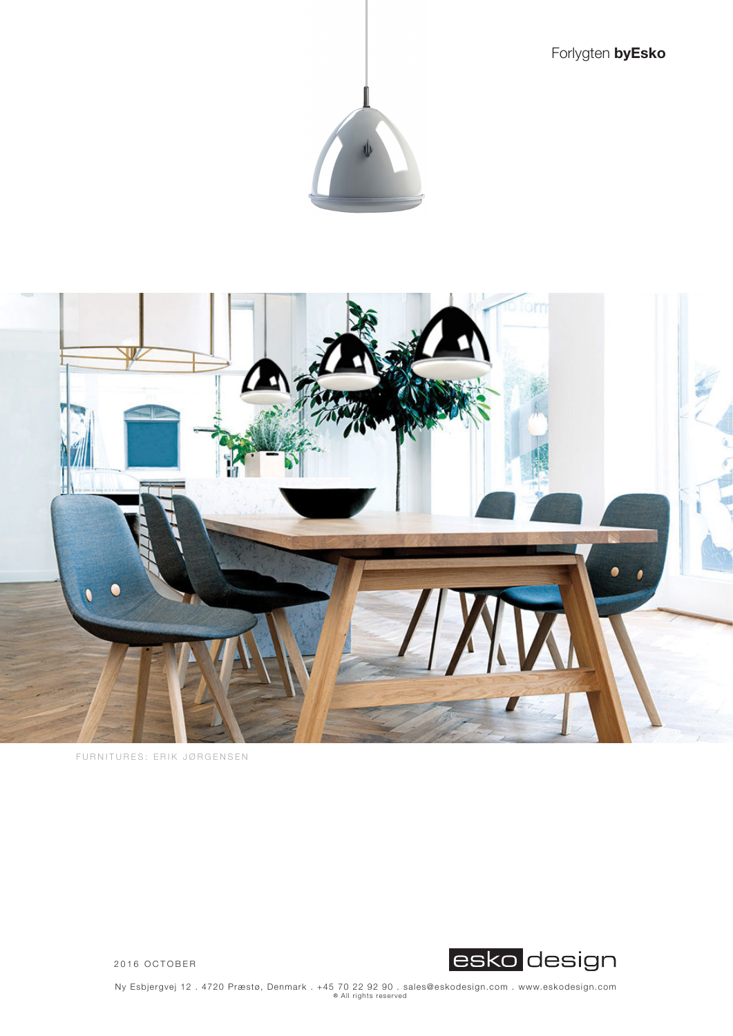Forlygten **byEsko**





FURNITURES: ERIK JØRGENSEN



2016 OCTOBER

Ny Esbjergvej 12 . 4720 Præstø, Denmark . +45 70 22 92 90 . sales@eskodesign.com . www.eskodesign.com ® ® All rights reserved